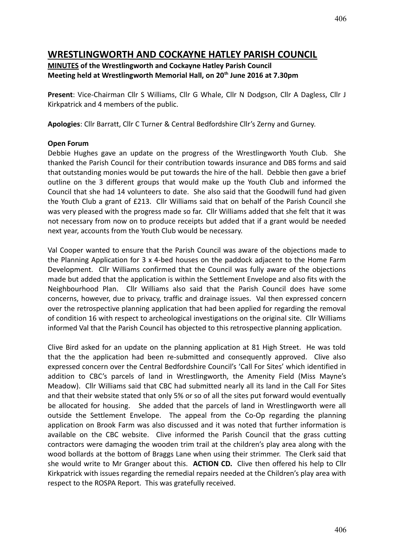# **WRESTLINGWORTH AND COCKAYNE HATLEY PARISH COUNCIL**

# **MINUTES of the Wrestlingworth and Cockayne Hatley Parish Council Meeting held at Wrestlingworth Memorial Hall, on 20th June 2016 at 7.30pm**

**Present**: Vice-Chairman Cllr S Williams, Cllr G Whale, Cllr N Dodgson, Cllr A Dagless, Cllr J Kirkpatrick and 4 members of the public.

**Apologies**: Cllr Barratt, Cllr C Turner & Central Bedfordshire Cllr's Zerny and Gurney.

### **Open Forum**

Debbie Hughes gave an update on the progress of the Wrestlingworth Youth Club. She thanked the Parish Council for their contribution towards insurance and DBS forms and said that outstanding monies would be put towards the hire of the hall. Debbie then gave a brief outline on the 3 different groups that would make up the Youth Club and informed the Council that she had 14 volunteers to date. She also said that the Goodwill fund had given the Youth Club a grant of £213. Cllr Williams said that on behalf of the Parish Council she was very pleased with the progress made so far. Cllr Williams added that she felt that it was not necessary from now on to produce receipts but added that if a grant would be needed next year, accounts from the Youth Club would be necessary.

Val Cooper wanted to ensure that the Parish Council was aware of the objections made to the Planning Application for 3 x 4-bed houses on the paddock adjacent to the Home Farm Development. Cllr Williams confirmed that the Council was fully aware of the objections made but added that the application is within the Settlement Envelope and also fits with the Neighbourhood Plan. Cllr Williams also said that the Parish Council does have some concerns, however, due to privacy, traffic and drainage issues. Val then expressed concern over the retrospective planning application that had been applied for regarding the removal of condition 16 with respect to archeological investigations on the original site. Cllr Williams informed Val that the Parish Council has objected to this retrospective planning application.

Clive Bird asked for an update on the planning application at 81 High Street. He was told that the the application had been re-submitted and consequently approved. Clive also expressed concern over the Central Bedfordshire Council's 'Call For Sites' which identified in addition to CBC's parcels of land in Wrestlingworth, the Amenity Field (Miss Mayne's Meadow). Cllr Williams said that CBC had submitted nearly all its land in the Call For Sites and that their website stated that only 5% or so of all the sites put forward would eventually be allocated for housing. She added that the parcels of land in Wrestlingworth were all outside the Settlement Envelope. The appeal from the Co-Op regarding the planning application on Brook Farm was also discussed and it was noted that further information is available on the CBC website. Clive informed the Parish Council that the grass cutting contractors were damaging the wooden trim trail at the children's play area along with the wood bollards at the bottom of Braggs Lane when using their strimmer. The Clerk said that she would write to Mr Granger about this. **ACTION CD.** Clive then offered his help to Cllr Kirkpatrick with issues regarding the remedial repairs needed at the Children's play area with respect to the ROSPA Report. This was gratefully received.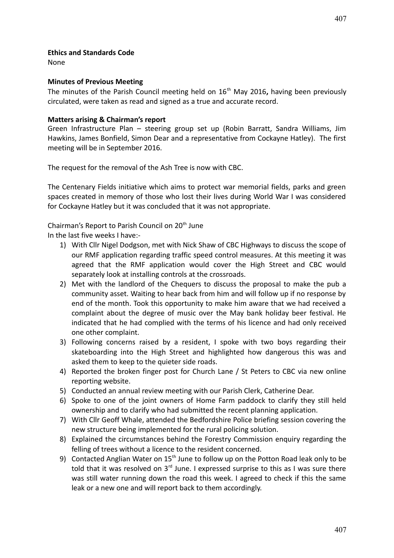None

#### **Minutes of Previous Meeting**

The minutes of the Parish Council meeting held on 16<sup>th</sup> May 2016, having been previously circulated, were taken as read and signed as a true and accurate record.

#### **Matters arising & Chairman's report**

Green Infrastructure Plan – steering group set up (Robin Barratt, Sandra Williams, Jim Hawkins, James Bonfield, Simon Dear and a representative from Cockayne Hatley). The first meeting will be in September 2016.

The request for the removal of the Ash Tree is now with CBC.

The Centenary Fields initiative which aims to protect war memorial fields, parks and green spaces created in memory of those who lost their lives during World War I was considered for Cockayne Hatley but it was concluded that it was not appropriate.

Chairman's Report to Parish Council on 20<sup>th</sup> June

In the last five weeks I have:-

- 1) With Cllr Nigel Dodgson, met with Nick Shaw of CBC Highways to discuss the scope of our RMF application regarding traffic speed control measures. At this meeting it was agreed that the RMF application would cover the High Street and CBC would separately look at installing controls at the crossroads.
- 2) Met with the landlord of the Chequers to discuss the proposal to make the pub a community asset. Waiting to hear back from him and will follow up if no response by end of the month. Took this opportunity to make him aware that we had received a complaint about the degree of music over the May bank holiday beer festival. He indicated that he had complied with the terms of his licence and had only received one other complaint.
- 3) Following concerns raised by a resident, I spoke with two boys regarding their skateboarding into the High Street and highlighted how dangerous this was and asked them to keep to the quieter side roads.
- 4) Reported the broken finger post for Church Lane / St Peters to CBC via new online reporting website.
- 5) Conducted an annual review meeting with our Parish Clerk, Catherine Dear.
- 6) Spoke to one of the joint owners of Home Farm paddock to clarify they still held ownership and to clarify who had submitted the recent planning application.
- 7) With Cllr Geoff Whale, attended the Bedfordshire Police briefing session covering the new structure being implemented for the rural policing solution.
- 8) Explained the circumstances behind the Forestry Commission enquiry regarding the felling of trees without a licence to the resident concerned.
- 9) Contacted Anglian Water on  $15<sup>th</sup>$  June to follow up on the Potton Road leak only to be told that it was resolved on  $3<sup>rd</sup>$  June. I expressed surprise to this as I was sure there was still water running down the road this week. I agreed to check if this the same leak or a new one and will report back to them accordingly.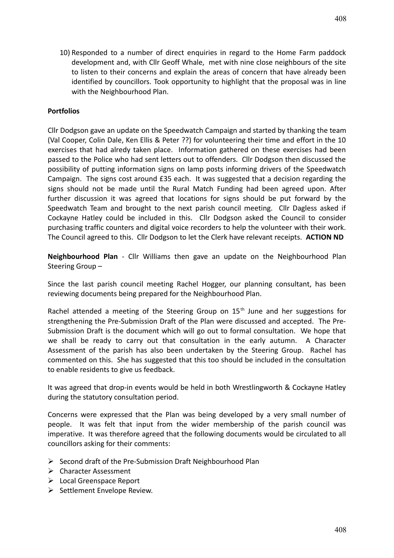10) Responded to a number of direct enquiries in regard to the Home Farm paddock development and, with Cllr Geoff Whale, met with nine close neighbours of the site to listen to their concerns and explain the areas of concern that have already been identified by councillors. Took opportunity to highlight that the proposal was in line with the Neighbourhood Plan.

#### **Portfolios**

Cllr Dodgson gave an update on the Speedwatch Campaign and started by thanking the team (Val Cooper, Colin Dale, Ken Ellis & Peter ??) for volunteering their time and effort in the 10 exercises that had alredy taken place. Information gathered on these exercises had been passed to the Police who had sent letters out to offenders. Cllr Dodgson then discussed the possibility of putting information signs on lamp posts informing drivers of the Speedwatch Campaign. The signs cost around £35 each. It was suggested that a decision regarding the signs should not be made until the Rural Match Funding had been agreed upon. After further discussion it was agreed that locations for signs should be put forward by the Speedwatch Team and brought to the next parish council meeting. Cllr Dagless asked if Cockayne Hatley could be included in this. Cllr Dodgson asked the Council to consider purchasing traffic counters and digital voice recorders to help the volunteer with their work. The Council agreed to this. Cllr Dodgson to let the Clerk have relevant receipts. **ACTION ND**

**Neighbourhood Plan** - Cllr Williams then gave an update on the Neighbourhood Plan Steering Group –

Since the last parish council meeting Rachel Hogger, our planning consultant, has been reviewing documents being prepared for the Neighbourhood Plan.

Rachel attended a meeting of the Steering Group on  $15<sup>th</sup>$  June and her suggestions for strengthening the Pre-Submission Draft of the Plan were discussed and accepted. The Pre-Submission Draft is the document which will go out to formal consultation. We hope that we shall be ready to carry out that consultation in the early autumn. A Character Assessment of the parish has also been undertaken by the Steering Group. Rachel has commented on this. She has suggested that this too should be included in the consultation to enable residents to give us feedback.

It was agreed that drop-in events would be held in both Wrestlingworth & Cockayne Hatley during the statutory consultation period.

Concerns were expressed that the Plan was being developed by a very small number of people. It was felt that input from the wider membership of the parish council was imperative. It was therefore agreed that the following documents would be circulated to all councillors asking for their comments:

- $\triangleright$  Second draft of the Pre-Submission Draft Neighbourhood Plan
- $\triangleright$  Character Assessment
- Local Greenspace Report
- $\triangleright$  Settlement Envelope Review.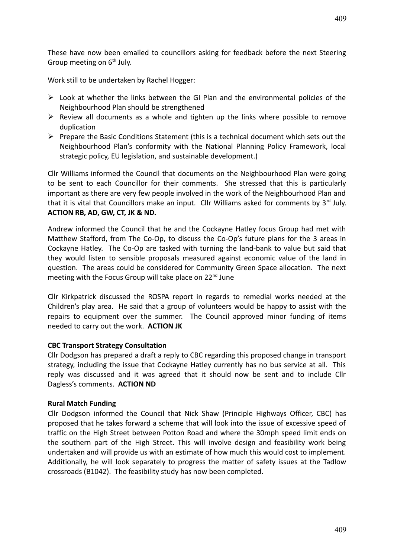These have now been emailed to councillors asking for feedback before the next Steering Group meeting on  $6<sup>th</sup>$  July.

Work still to be undertaken by Rachel Hogger:

- $\triangleright$  Look at whether the links between the GI Plan and the environmental policies of the Neighbourhood Plan should be strengthened
- $\triangleright$  Review all documents as a whole and tighten up the links where possible to remove duplication
- $\triangleright$  Prepare the Basic Conditions Statement (this is a technical document which sets out the Neighbourhood Plan's conformity with the National Planning Policy Framework, local strategic policy, EU legislation, and sustainable development.)

Cllr Williams informed the Council that documents on the Neighbourhood Plan were going to be sent to each Councillor for their comments. She stressed that this is particularly important as there are very few people involved in the work of the Neighbourhood Plan and that it is vital that Councillors make an input. Cllr Williams asked for comments by  $3^{rd}$  July. **ACTION RB, AD, GW, CT, JK & ND.**

Andrew informed the Council that he and the Cockayne Hatley focus Group had met with Matthew Stafford, from The Co-Op, to discuss the Co-Op's future plans for the 3 areas in Cockayne Hatley. The Co-Op are tasked with turning the land-bank to value but said that they would listen to sensible proposals measured against economic value of the land in question. The areas could be considered for Community Green Space allocation. The next meeting with the Focus Group will take place on 22<sup>nd</sup> June

Cllr Kirkpatrick discussed the ROSPA report in regards to remedial works needed at the Children's play area. He said that a group of volunteers would be happy to assist with the repairs to equipment over the summer. The Council approved minor funding of items needed to carry out the work. **ACTION JK**

#### **CBC Transport Strategy Consultation**

Cllr Dodgson has prepared a draft a reply to CBC regarding this proposed change in transport strategy, including the issue that Cockayne Hatley currently has no bus service at all. This reply was discussed and it was agreed that it should now be sent and to include Cllr Dagless's comments. **ACTION ND**

#### **Rural Match Funding**

Cllr Dodgson informed the Council that Nick Shaw (Principle Highways Officer, CBC) has proposed that he takes forward a scheme that will look into the issue of excessive speed of traffic on the High Street between Potton Road and where the 30mph speed limit ends on the southern part of the High Street. This will involve design and feasibility work being undertaken and will provide us with an estimate of how much this would cost to implement. Additionally, he will look separately to progress the matter of safety issues at the Tadlow crossroads (B1042). The feasibility study has now been completed.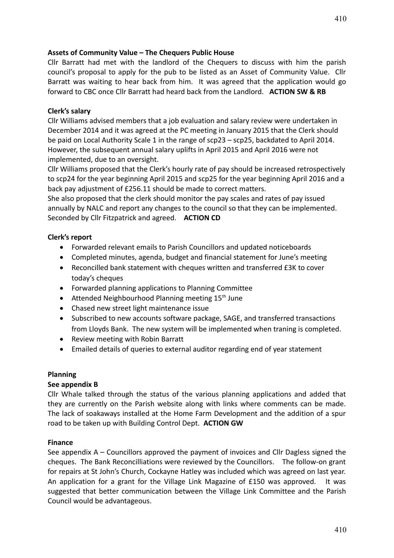#### **Assets of Community Value – The Chequers Public House**

Cllr Barratt had met with the landlord of the Chequers to discuss with him the parish council's proposal to apply for the pub to be listed as an Asset of Community Value. Cllr Barratt was waiting to hear back from him. It was agreed that the application would go forward to CBC once Cllr Barratt had heard back from the Landlord. **ACTION SW & RB**

#### **Clerk's salary**

Cllr Williams advised members that a job evaluation and salary review were undertaken in December 2014 and it was agreed at the PC meeting in January 2015 that the Clerk should be paid on Local Authority Scale 1 in the range of scp23 – scp25, backdated to April 2014. However, the subsequent annual salary uplifts in April 2015 and April 2016 were not implemented, due to an oversight.

Cllr Williams proposed that the Clerk's hourly rate of pay should be increased retrospectively to scp24 for the year beginning April 2015 and scp25 for the year beginning April 2016 and a back pay adjustment of £256.11 should be made to correct matters.

She also proposed that the clerk should monitor the pay scales and rates of pay issued annually by NALC and report any changes to the council so that they can be implemented. Seconded by Cllr Fitzpatrick and agreed. **ACTION CD**

#### **Clerk's report**

- Forwarded relevant emails to Parish Councillors and updated noticeboards
- Completed minutes, agenda, budget and financial statement for June's meeting
- Reconcilled bank statement with cheques written and transferred £3K to cover today's cheques
- Forwarded planning applications to Planning Committee
- $\bullet$  Attended Neighbourhood Planning meeting 15<sup>th</sup> June
- Chased new street light maintenance issue
- Subscribed to new accounts software package, SAGE, and transferred transactions from Lloyds Bank. The new system will be implemented when traning is completed.
- Review meeting with Robin Barratt
- Emailed details of queries to external auditor regarding end of year statement

#### **Planning**

#### **See appendix B**

Cllr Whale talked through the status of the various planning applications and added that they are currently on the Parish website along with links where comments can be made. The lack of soakaways installed at the Home Farm Development and the addition of a spur road to be taken up with Building Control Dept. **ACTION GW**

#### **Finance**

See appendix A – Councillors approved the payment of invoices and Cllr Dagless signed the cheques. The Bank Reconcilliations were reviewed by the Councillors. The follow-on grant for repairs at St John's Church, Cockayne Hatley was included which was agreed on last year. An application for a grant for the Village Link Magazine of £150 was approved. It was suggested that better communication between the Village Link Committee and the Parish Council would be advantageous.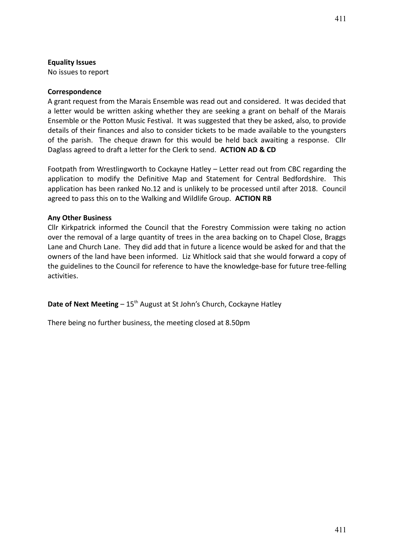#### **Equality Issues**

No issues to report

#### **Correspondence**

A grant request from the Marais Ensemble was read out and considered. It was decided that a letter would be written asking whether they are seeking a grant on behalf of the Marais Ensemble or the Potton Music Festival. It was suggested that they be asked, also, to provide details of their finances and also to consider tickets to be made available to the youngsters of the parish. The cheque drawn for this would be held back awaiting a response. Cllr Daglass agreed to draft a letter for the Clerk to send. **ACTION AD & CD**

Footpath from Wrestlingworth to Cockayne Hatley – Letter read out from CBC regarding the application to modify the Definitive Map and Statement for Central Bedfordshire. This application has been ranked No.12 and is unlikely to be processed until after 2018. Council agreed to pass this on to the Walking and Wildlife Group. **ACTION RB**

#### **Any Other Business**

Cllr Kirkpatrick informed the Council that the Forestry Commission were taking no action over the removal of a large quantity of trees in the area backing on to Chapel Close, Braggs Lane and Church Lane. They did add that in future a licence would be asked for and that the owners of the land have been informed. Liz Whitlock said that she would forward a copy of the guidelines to the Council for reference to have the knowledge-base for future tree-felling activities.

**Date of Next Meeting** – 15<sup>th</sup> August at St John's Church, Cockayne Hatley

There being no further business, the meeting closed at 8.50pm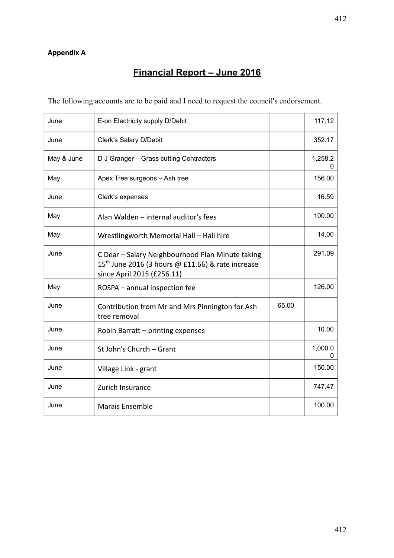# **Appendix A**

# **Financial Report – June 2016**

The following accounts are to be paid and I need to request the council's endorsement.

| June       | E-on Electricity supply D/Debit                                                                                                                 |       | 117.12                  |
|------------|-------------------------------------------------------------------------------------------------------------------------------------------------|-------|-------------------------|
| June       | Clerk's Salary D/Debit                                                                                                                          |       | 352.17                  |
| May & June | D J Granger - Grass cutting Contractors                                                                                                         |       | 1,258.2<br>$\mathbf{0}$ |
| May        | Apex Tree surgeons - Ash tree                                                                                                                   |       | 156.00                  |
| June       | Clerk's expenses                                                                                                                                |       | 16.59                   |
| May        | Alan Walden - internal auditor's fees                                                                                                           |       | 100.00                  |
| May        | Wrestlingworth Memorial Hall - Hall hire                                                                                                        |       | 14.00                   |
| June       | C Dear - Salary Neighbourhood Plan Minute taking<br>15 <sup>th</sup> June 2016 (3 hours @ £11.66) & rate increase<br>since April 2015 (£256.11) |       | 291.09                  |
| May        | ROSPA - annual inspection fee                                                                                                                   |       | 126.00                  |
| June       | Contribution from Mr and Mrs Pinnington for Ash<br>tree removal                                                                                 | 65.00 |                         |
| June       | Robin Barratt - printing expenses                                                                                                               |       | 10.00                   |
| June       | St John's Church - Grant                                                                                                                        |       | 1,000.0<br>0            |
| June       | Village Link - grant                                                                                                                            |       | 150.00                  |
| June       | Zurich Insurance                                                                                                                                |       | 747.47                  |
| June       | <b>Marais Ensemble</b>                                                                                                                          |       | 100.00                  |